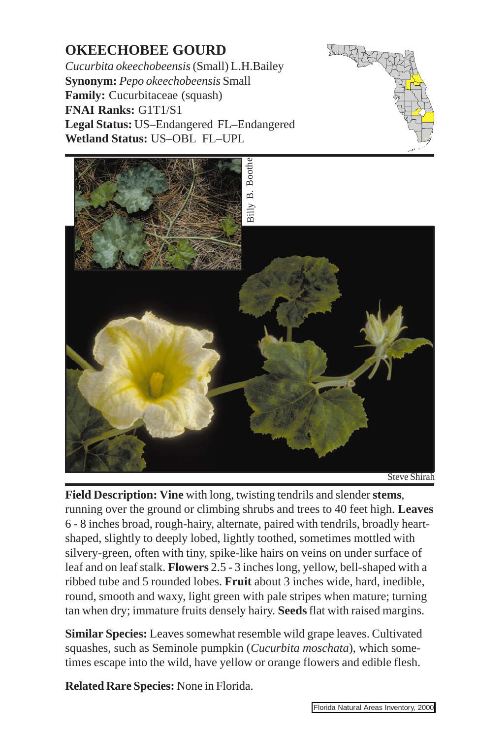## **OKEECHOBEE GOURD**

*Cucurbita okeechobeensis* (Small) L.H.Bailey **Synonym:** *Pepo okeechobeensis* Small **Family:** Cucurbitaceae (squash) **FNAI Ranks:** G1T1/S1 **Legal Status:** US–Endangered FL–Endangered **Wetland Status:** US–OBL FL–UPL





**Field Description: Vine** with long, twisting tendril[s and slender](http://www.fnai.org) **stems**, running over the ground or climbing shrubs and trees to 40 feet high. **Leaves** 6 - 8 inches broad, rough-hairy, alternate, paired with tendrils, broadly heartshaped, slightly to deeply lobed, lightly toothed, sometimes mottled with silvery-green, often with tiny, spike-like hairs on veins on under surface of leaf and on leaf stalk. **Flowers** 2.5 - 3 inches long, yellow, bell-shaped with a ribbed tube and 5 rounded lobes. **Fruit** about 3 inches wide, hard, inedible, round, smooth and waxy, light green with pale stripes when mature; turning tan when dry; immature fruits densely hairy. **Seeds** flat with raised margins.

**Similar Species:** Leaves somewhat resemble wild grape leaves. Cultivated squashes, such as Seminole pumpkin (*Cucurbita moschata*), which sometimes escape into the wild, have yellow or orange flowers and edible flesh.

**Related Rare Species:** None in Florida.